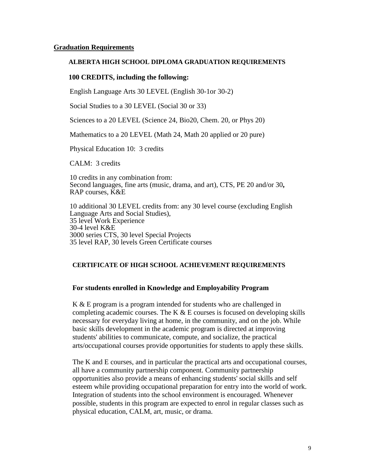#### **Graduation Requirements**

#### **ALBERTA HIGH SCHOOL DIPLOMA GRADUATION REQUIREMENTS**

#### **100 CREDITS, including the following:**

English Language Arts 30 LEVEL (English 30-1or 30-2)

Social Studies to a 30 LEVEL (Social 30 or 33)

Sciences to a 20 LEVEL (Science 24, Bio20, Chem. 20, or Phys 20)

Mathematics to a 20 LEVEL (Math 24, Math 20 applied or 20 pure)

Physical Education 10: 3 credits

CALM: 3 credits

10 credits in any combination from: Second languages, fine arts (music, drama, and art), CTS, PE 20 and/or 30**,** RAP courses, K&E

10 additional 30 LEVEL credits from: any 30 level course (excluding English Language Arts and Social Studies), 35 level Work Experience 30-4 level K&E 3000 series CTS, 30 level Special Projects 35 level RAP, 30 levels Green Certificate courses

### **CERTIFICATE OF HIGH SCHOOL ACHIEVEMENT REQUIREMENTS**

### **For students enrolled in Knowledge and Employability Program**

K & E program is a program intended for students who are challenged in completing academic courses. The K  $\&$  E courses is focused on developing skills necessary for everyday living at home, in the community, and on the job. While basic skills development in the academic program is directed at improving students' abilities to communicate, compute, and socialize, the practical arts/occupational courses provide opportunities for students to apply these skills.

The K and E courses, and in particular the practical arts and occupational courses, all have a community partnership component. Community partnership opportunities also provide a means of enhancing students' social skills and self esteem while providing occupational preparation for entry into the world of work. Integration of students into the school environment is encouraged. Whenever possible, students in this program are expected to enrol in regular classes such as physical education, CALM, art, music, or drama.